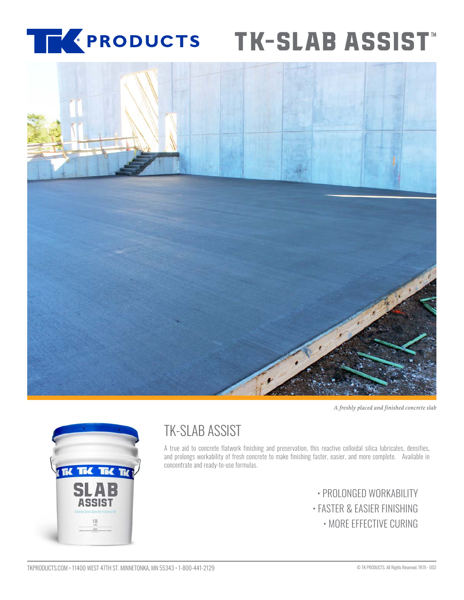### [®](https://www.tkproducts.com/) **[TK-SLAB ASSIST](https://www.tkproducts.com/product/concrete-slab-finishing-aid/)**



*A freshly placed and finished concrete slab*



# TK-SLAB ASSIST

A true aid to concrete flatwork finishing and preservation, this reactive colloidal silica lubricates, densifies, and prolongs workability of fresh concrete to make finishing faster, easier, and more complete. Available in concentrate and ready-to-use formulas.

> • PROLONGED WORKABILITY • FASTER & EASIER FINISHING • MORE EFFECTIVE CURING